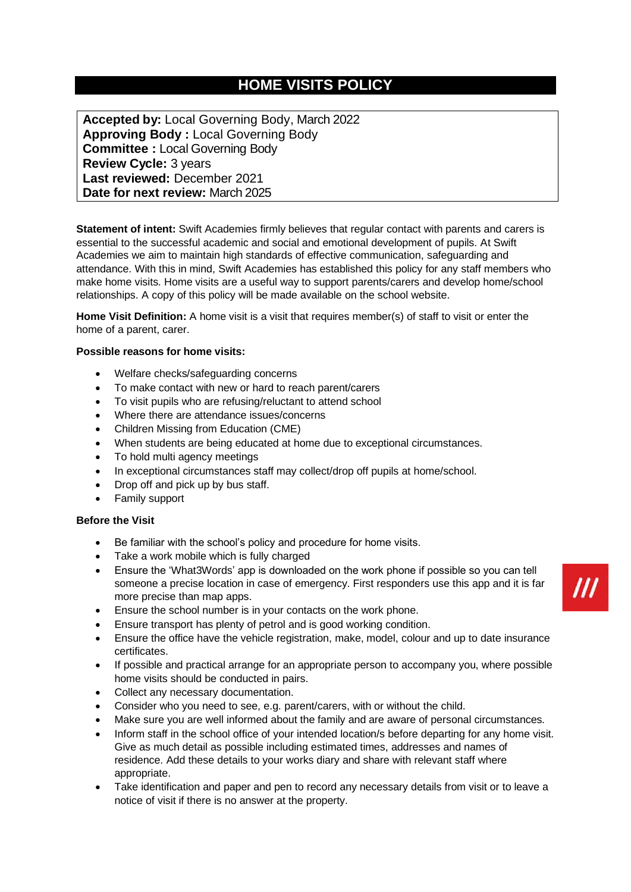# **HOME VISITS POLICY**

**Accepted by:** Local Governing Body, March 2022 **Approving Body :** Local Governing Body **Committee :** Local Governing Body **Review Cycle:** 3 years **Last reviewed:** December 2021 **Date for next review:** March 2025

**Statement of intent:** Swift Academies firmly believes that regular contact with parents and carers is essential to the successful academic and social and emotional development of pupils. At Swift Academies we aim to maintain high standards of effective communication, safeguarding and attendance. With this in mind, Swift Academies has established this policy for any staff members who make home visits. Home visits are a useful way to support parents/carers and develop home/school relationships. A copy of this policy will be made available on the school website.

**Home Visit Definition:** A home visit is a visit that requires member(s) of staff to visit or enter the home of a parent, carer.

# **Possible reasons for home visits:**

- Welfare checks/safeguarding concerns
- To make contact with new or hard to reach parent/carers
- To visit pupils who are refusing/reluctant to attend school
- Where there are attendance issues/concerns
- Children Missing from Education (CME)
- When students are being educated at home due to exceptional circumstances.
- To hold multi agency meetings
- In exceptional circumstances staff may collect/drop off pupils at home/school.
- Drop off and pick up by bus staff.
- Family support

#### **Before the Visit**

- Be familiar with the school's policy and procedure for home visits.
- Take a work mobile which is fully charged
- Ensure the 'What3Words' app is downloaded on the work phone if possible so you can tell someone a precise location in case of emergency. First responders use this app and it is far more precise than map apps.
- Ensure the school number is in your contacts on the work phone.
- Ensure transport has plenty of petrol and is good working condition.
- Ensure the office have the vehicle registration, make, model, colour and up to date insurance certificates.
- If possible and practical arrange for an appropriate person to accompany you, where possible home visits should be conducted in pairs.
- Collect any necessary documentation.
- Consider who you need to see, e.g. parent/carers, with or without the child.
- Make sure you are well informed about the family and are aware of personal circumstances.
- Inform staff in the school office of your intended location/s before departing for any home visit. Give as much detail as possible including estimated times, addresses and names of residence. Add these details to your works diary and share with relevant staff where appropriate.
- Take identification and paper and pen to record any necessary details from visit or to leave a notice of visit if there is no answer at the property.